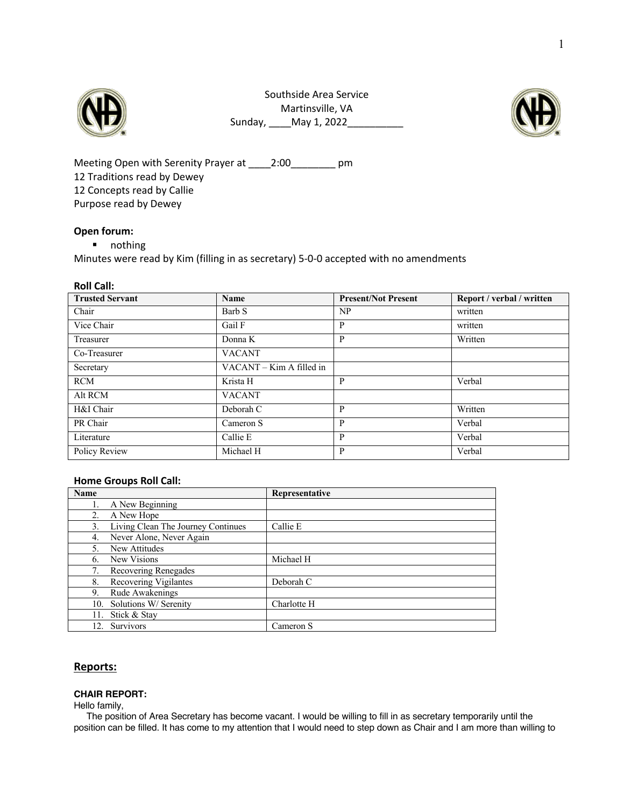

Southside Area Service Martinsville, VA Sunday, \_\_\_\_May 1, 2022\_\_\_\_\_\_\_\_\_\_



Meeting Open with Serenity Prayer at \_\_\_\_\_2:00\_\_\_\_\_\_\_\_\_ pm 12 Traditions read by Dewey 12 Concepts read by Callie Purpose read by Dewey

### **Open forum:**

§ nothing

Minutes were read by Kim (filling in as secretary) 5-0-0 accepted with no amendments

#### **Roll Call:**

| <b>Trusted Servant</b> | Name                     | <b>Present/Not Present</b> | Report / verbal / written |
|------------------------|--------------------------|----------------------------|---------------------------|
| Chair                  | Barb S                   | N <sub>P</sub>             | written                   |
| Vice Chair             | Gail F                   | P                          | written                   |
| Treasurer              | Donna K                  | P                          | Written                   |
| Co-Treasurer           | <b>VACANT</b>            |                            |                           |
| Secretary              | VACANT – Kim A filled in |                            |                           |
| <b>RCM</b>             | Krista H                 | P                          | Verbal                    |
| Alt RCM                | <b>VACANT</b>            |                            |                           |
| H&I Chair              | Deborah C                | P                          | Written                   |
| PR Chair               | Cameron S                | P                          | Verbal                    |
| Literature             | Callie E                 | P                          | Verbal                    |
| Policy Review          | Michael H                | P                          | Verbal                    |

#### **Home Groups Roll Call:**

| Name |                                    | Representative |
|------|------------------------------------|----------------|
|      | A New Beginning                    |                |
|      | A New Hope                         |                |
| 3.   | Living Clean The Journey Continues | Callie E       |
| 4.   | Never Alone, Never Again           |                |
| 5.   | New Attitudes                      |                |
| 6.   | New Visions                        | Michael H      |
|      | Recovering Renegades               |                |
| 8.   | Recovering Vigilantes              | Deborah C      |
| 9.   | Rude Awakenings                    |                |
|      | 10. Solutions W/ Serenity          | Charlotte H    |
| 11.  | Stick & Stay                       |                |
| 12.  | Survivors                          | Cameron S      |

## **Reports:**

#### **CHAIR REPORT:**

Hello family,

The position of Area Secretary has become vacant. I would be willing to fill in as secretary temporarily until the position can be filled. It has come to my attention that I would need to step down as Chair and I am more than willing to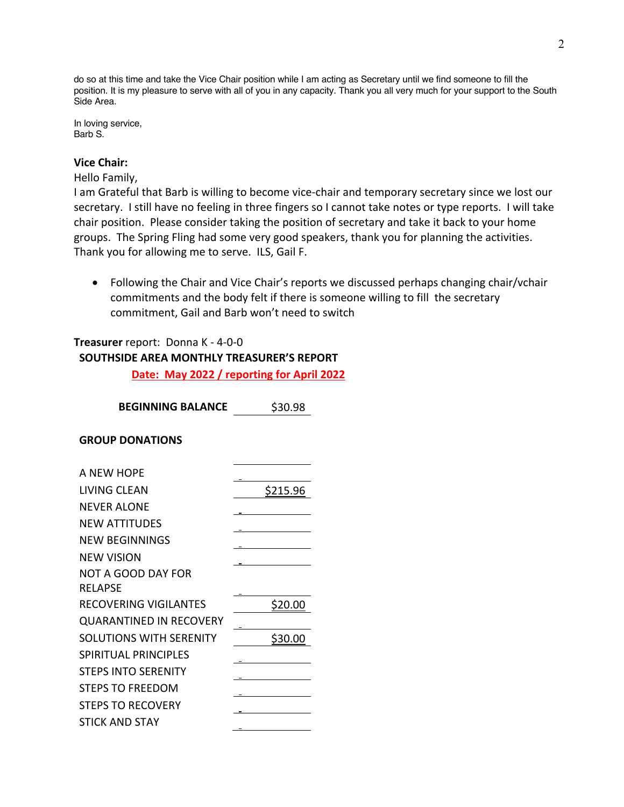do so at this time and take the Vice Chair position while I am acting as Secretary until we find someone to fill the position. It is my pleasure to serve with all of you in any capacity. Thank you all very much for your support to the South Side Area.

In loving service, Barb S.

# **Vice Chair:**

Hello Family,

I am Grateful that Barb is willing to become vice-chair and temporary secretary since we lost our secretary. I still have no feeling in three fingers so I cannot take notes or type reports. I will take chair position. Please consider taking the position of secretary and take it back to your home groups. The Spring Fling had some very good speakers, thank you for planning the activities. Thank you for allowing me to serve. ILS, Gail F.

• Following the Chair and Vice Chair's reports we discussed perhaps changing chair/vchair commitments and the body felt if there is someone willing to fill the secretary commitment, Gail and Barb won't need to switch

# **Treasurer** report: Donna K - 4-0-0

## **SOUTHSIDE AREA MONTHLY TREASURER'S REPORT**

**Date: May 2022 / reporting for April 2022**

**BEGINNING BALANCE** \$30.98

## **GROUP DONATIONS**

| A NEW HOPE                     |          |
|--------------------------------|----------|
| LIVING CLEAN                   | \$215.96 |
| <b>NEVER ALONE</b>             |          |
| <b>NEW ATTITUDES</b>           |          |
| <b>NEW BEGINNINGS</b>          |          |
| <b>NEW VISION</b>              |          |
| <b>NOT A GOOD DAY FOR</b>      |          |
| <b>RELAPSE</b>                 |          |
| RECOVERING VIGILANTES          | S20.00   |
| <b>QUARANTINED IN RECOVERY</b> |          |
| <b>SOLUTIONS WITH SERENITY</b> | S30.0    |
| SPIRITUAL PRINCIPLES           |          |
| <b>STEPS INTO SERENITY</b>     |          |
| <b>STEPS TO FREEDOM</b>        |          |
| <b>STEPS TO RECOVERY</b>       |          |
| <b>STICK AND STAY</b>          |          |
|                                |          |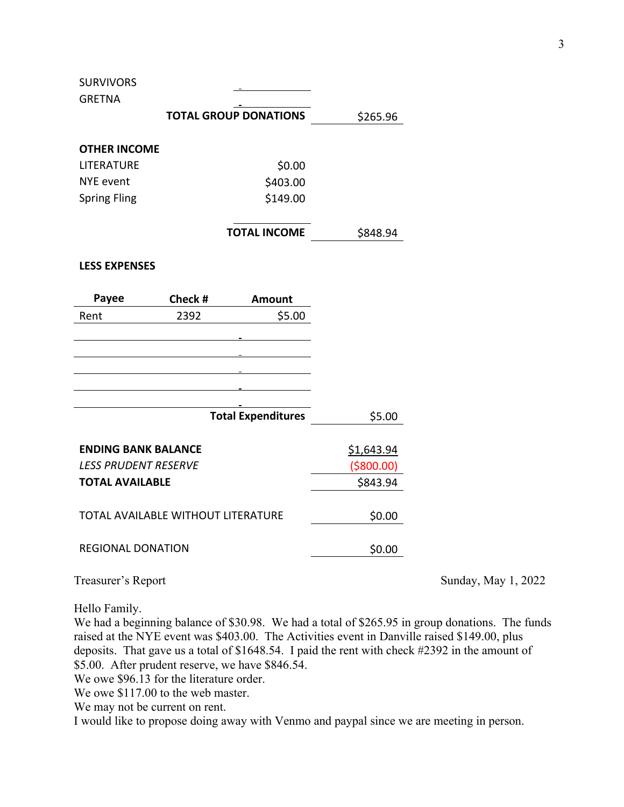**SURVIVORS** 

| <b>GRETNA</b>       |                              |          |
|---------------------|------------------------------|----------|
|                     | <b>TOTAL GROUP DONATIONS</b> | \$265.96 |
|                     |                              |          |
| <b>OTHER INCOME</b> |                              |          |
| <b>LITERATURE</b>   | \$0.00                       |          |
| NYE event           | \$403.00                     |          |
| <b>Spring Fling</b> | \$149.00                     |          |
|                     |                              |          |
|                     | <b>TOTAL INCOME</b>          | \$848.94 |
|                     |                              |          |

## **LESS EXPENSES**

| Payee                      | Check #                                   | <b>Amount</b>             |             |
|----------------------------|-------------------------------------------|---------------------------|-------------|
| Rent                       | 2392                                      | \$5.00                    |             |
|                            |                                           |                           |             |
|                            |                                           |                           |             |
|                            |                                           |                           |             |
|                            |                                           |                           |             |
|                            |                                           |                           |             |
|                            |                                           | <b>Total Expenditures</b> | \$5.00      |
|                            |                                           |                           |             |
| <b>ENDING BANK BALANCE</b> |                                           |                           | \$1,643.94  |
| LESS PRUDENT RESERVE       |                                           |                           | ( \$800.00) |
| <b>TOTAL AVAILABLE</b>     |                                           |                           | \$843.94    |
|                            |                                           |                           |             |
|                            | <b>TOTAL AVAILABLE WITHOUT LITERATURE</b> |                           | \$0.00      |
|                            |                                           |                           |             |
| <b>REGIONAL DONATION</b>   |                                           |                           | \$0.00      |
|                            |                                           |                           |             |

Treasurer's Report Sunday, May 1, 2022

Hello Family.

We had a beginning balance of \$30.98. We had a total of \$265.95 in group donations. The funds raised at the NYE event was \$403.00. The Activities event in Danville raised \$149.00, plus deposits. That gave us a total of \$1648.54. I paid the rent with check #2392 in the amount of \$5.00. After prudent reserve, we have \$846.54.

We owe \$96.13 for the literature order.

We owe \$117.00 to the web master.

We may not be current on rent.

I would like to propose doing away with Venmo and paypal since we are meeting in person.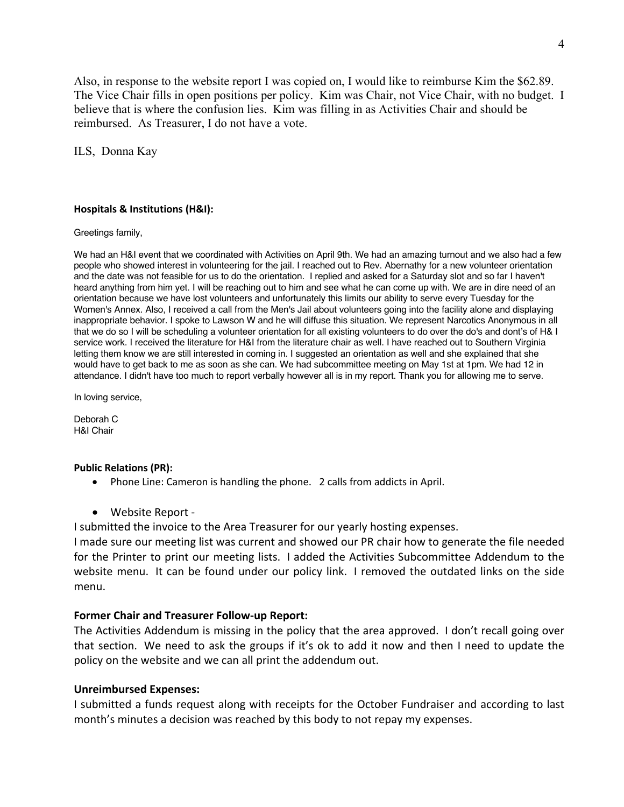Also, in response to the website report I was copied on, I would like to reimburse Kim the \$62.89. The Vice Chair fills in open positions per policy. Kim was Chair, not Vice Chair, with no budget. I believe that is where the confusion lies. Kim was filling in as Activities Chair and should be reimbursed. As Treasurer, I do not have a vote.

ILS, Donna Kay

### **Hospitals & Institutions (H&I):**

Greetings family,

We had an H&I event that we coordinated with Activities on April 9th. We had an amazing turnout and we also had a few people who showed interest in volunteering for the jail. I reached out to Rev. Abernathy for a new volunteer orientation and the date was not feasible for us to do the orientation. I replied and asked for a Saturday slot and so far I haven't heard anything from him yet. I will be reaching out to him and see what he can come up with. We are in dire need of an orientation because we have lost volunteers and unfortunately this limits our ability to serve every Tuesday for the Women's Annex. Also, I received a call from the Men's Jail about volunteers going into the facility alone and displaying inappropriate behavior. I spoke to Lawson W and he will diffuse this situation. We represent Narcotics Anonymous in all that we do so I will be scheduling a volunteer orientation for all existing volunteers to do over the do's and dont's of H& I service work. I received the literature for H&I from the literature chair as well. I have reached out to Southern Virginia letting them know we are still interested in coming in. I suggested an orientation as well and she explained that she would have to get back to me as soon as she can. We had subcommittee meeting on May 1st at 1pm. We had 12 in attendance. I didn't have too much to report verbally however all is in my report. Thank you for allowing me to serve.

In loving service,

Deborah C H&I Chair

### **Public Relations (PR):**

• Phone Line: Cameron is handling the phone. 2 calls from addicts in April.

• Website Report -

I submitted the invoice to the Area Treasurer for our yearly hosting expenses.

I made sure our meeting list was current and showed our PR chair how to generate the file needed for the Printer to print our meeting lists. I added the Activities Subcommittee Addendum to the website menu. It can be found under our policy link. I removed the outdated links on the side menu.

## **Former Chair and Treasurer Follow-up Report:**

The Activities Addendum is missing in the policy that the area approved. I don't recall going over that section. We need to ask the groups if it's ok to add it now and then I need to update the policy on the website and we can all print the addendum out.

## **Unreimbursed Expenses:**

I submitted a funds request along with receipts for the October Fundraiser and according to last month's minutes a decision was reached by this body to not repay my expenses.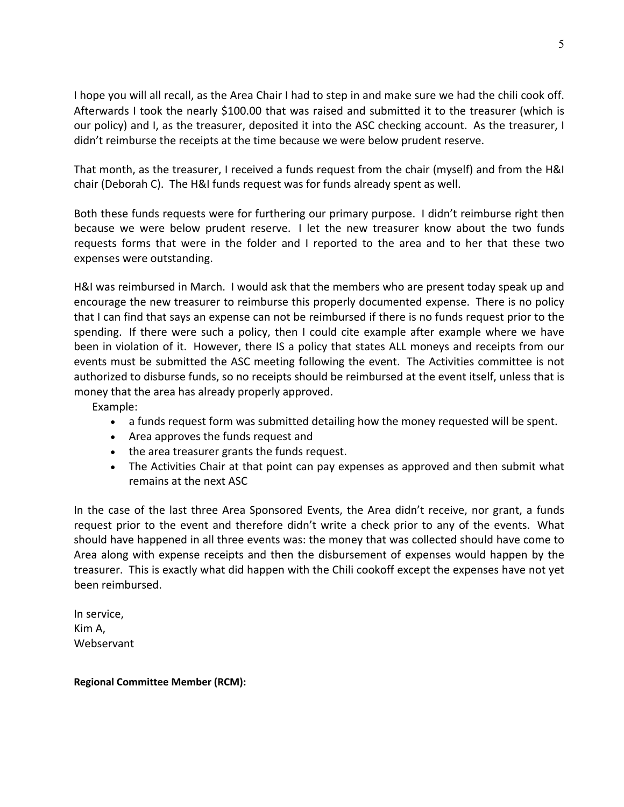I hope you will all recall, as the Area Chair I had to step in and make sure we had the chili cook off. Afterwards I took the nearly \$100.00 that was raised and submitted it to the treasurer (which is our policy) and I, as the treasurer, deposited it into the ASC checking account. As the treasurer, I didn't reimburse the receipts at the time because we were below prudent reserve.

That month, as the treasurer, I received a funds request from the chair (myself) and from the H&I chair (Deborah C). The H&I funds request was for funds already spent as well.

Both these funds requests were for furthering our primary purpose. I didn't reimburse right then because we were below prudent reserve. I let the new treasurer know about the two funds requests forms that were in the folder and I reported to the area and to her that these two expenses were outstanding.

H&I was reimbursed in March. I would ask that the members who are present today speak up and encourage the new treasurer to reimburse this properly documented expense. There is no policy that I can find that says an expense can not be reimbursed if there is no funds request prior to the spending. If there were such a policy, then I could cite example after example where we have been in violation of it. However, there IS a policy that states ALL moneys and receipts from our events must be submitted the ASC meeting following the event. The Activities committee is not authorized to disburse funds, so no receipts should be reimbursed at the event itself, unless that is money that the area has already properly approved.

Example:

- a funds request form was submitted detailing how the money requested will be spent.
- Area approves the funds request and
- the area treasurer grants the funds request.
- The Activities Chair at that point can pay expenses as approved and then submit what remains at the next ASC

In the case of the last three Area Sponsored Events, the Area didn't receive, nor grant, a funds request prior to the event and therefore didn't write a check prior to any of the events. What should have happened in all three events was: the money that was collected should have come to Area along with expense receipts and then the disbursement of expenses would happen by the treasurer. This is exactly what did happen with the Chili cookoff except the expenses have not yet been reimbursed.

In service, Kim A, **Webservant** 

**Regional Committee Member (RCM):**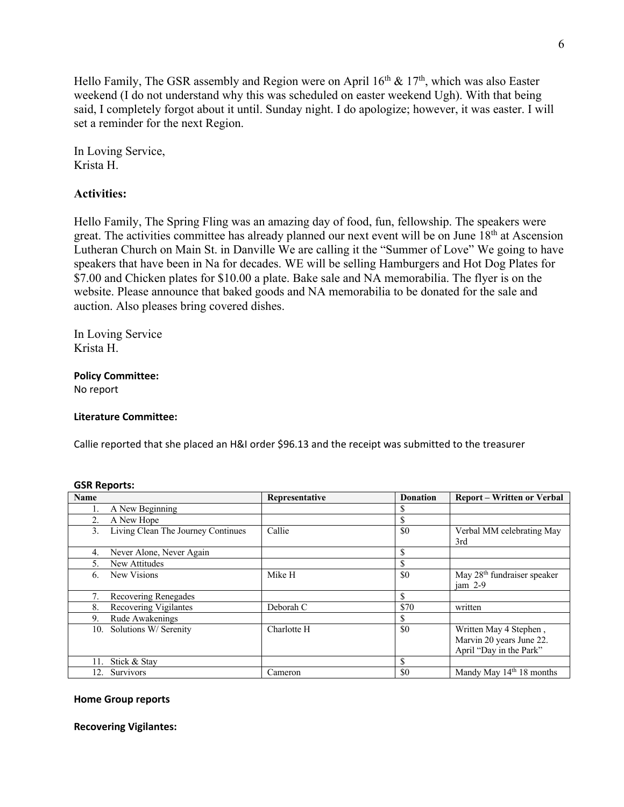Hello Family, The GSR assembly and Region were on April  $16<sup>th</sup>$  &  $17<sup>th</sup>$ , which was also Easter weekend (I do not understand why this was scheduled on easter weekend Ugh). With that being said, I completely forgot about it until. Sunday night. I do apologize; however, it was easter. I will set a reminder for the next Region.

In Loving Service, Krista H.

# **Activities:**

Hello Family, The Spring Fling was an amazing day of food, fun, fellowship. The speakers were great. The activities committee has already planned our next event will be on June 18<sup>th</sup> at Ascension Lutheran Church on Main St. in Danville We are calling it the "Summer of Love" We going to have speakers that have been in Na for decades. WE will be selling Hamburgers and Hot Dog Plates for \$7.00 and Chicken plates for \$10.00 a plate. Bake sale and NA memorabilia. The flyer is on the website. Please announce that baked goods and NA memorabilia to be donated for the sale and auction. Also pleases bring covered dishes.

In Loving Service Krista H.

# **Policy Committee:**

No report

## **Literature Committee:**

Callie reported that she placed an H&I order \$96.13 and the receipt was submitted to the treasurer

| Name |                                    | Representative | <b>Donation</b> | <b>Report - Written or Verbal</b>                                             |
|------|------------------------------------|----------------|-----------------|-------------------------------------------------------------------------------|
|      | A New Beginning                    |                |                 |                                                                               |
|      | A New Hope                         |                | \$              |                                                                               |
| 3.   | Living Clean The Journey Continues | Callie         | \$0             | Verbal MM celebrating May<br>3rd                                              |
| 4.   | Never Alone, Never Again           |                | \$              |                                                                               |
|      | New Attitudes                      |                | \$              |                                                                               |
| 6.   | New Visions                        | Mike H         | \$0             | May 28 <sup>th</sup> fundraiser speaker<br>$iam 2-9$                          |
|      | Recovering Renegades               |                | \$              |                                                                               |
| 8.   | Recovering Vigilantes              | Deborah C      | \$70            | written                                                                       |
| 9.   | Rude Awakenings                    |                | \$              |                                                                               |
| 10.  | Solutions W/ Serenity              | Charlotte H    | \$0             | Written May 4 Stephen,<br>Marvin 20 years June 22.<br>April "Day in the Park" |
| 11.  | Stick & Stay                       |                | \$              |                                                                               |
| 12.  | Survivors                          | Cameron        | \$0             | Mandy May $14th 18$ months                                                    |

### **GSR Reports:**

### **Home Group reports**

**Recovering Vigilantes:**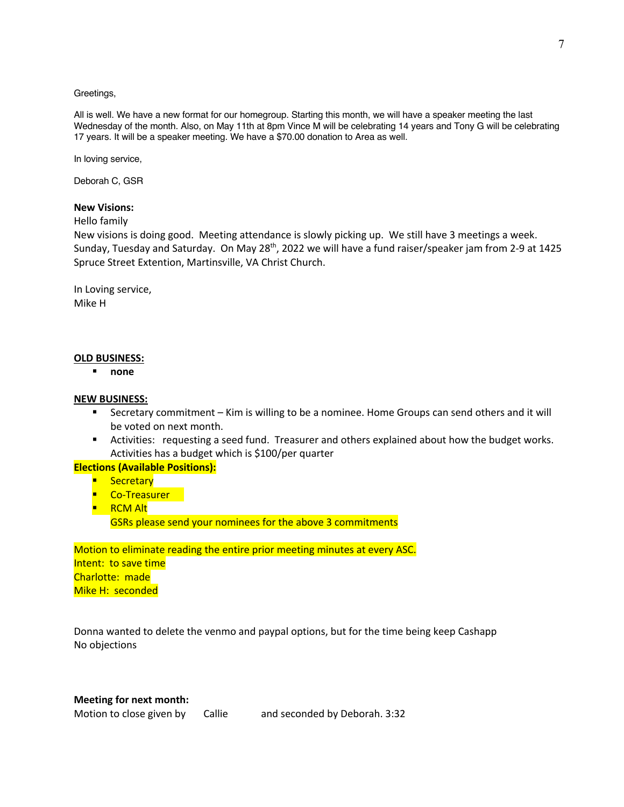#### Greetings,

All is well. We have a new format for our homegroup. Starting this month, we will have a speaker meeting the last Wednesday of the month. Also, on May 11th at 8pm Vince M will be celebrating 14 years and Tony G will be celebrating 17 years. It will be a speaker meeting. We have a \$70.00 donation to Area as well.

In loving service,

Deborah C, GSR

### **New Visions:**

Hello family

New visions is doing good. Meeting attendance is slowly picking up. We still have 3 meetings a week. Sunday, Tuesday and Saturday. On May 28<sup>th</sup>, 2022 we will have a fund raiser/speaker jam from 2-9 at 1425 Spruce Street Extention, Martinsville, VA Christ Church.

In Loving service, Mike H

### **OLD BUSINESS:**

§ **none**

### **NEW BUSINESS:**

- Secretary commitment Kim is willing to be a nominee. Home Groups can send others and it will be voted on next month.
- **•** Activities: requesting a seed fund. Treasurer and others explained about how the budget works. Activities has a budget which is \$100/per quarter

## **Elections (Available Positions):**

- § Secretary
- Co-Treasurer
- RCM Alt GSRs please send your nominees for the above 3 commitments

Motion to eliminate reading the entire prior meeting minutes at every ASC. Intent: to save time Charlotte: made Mike H: seconded

Donna wanted to delete the venmo and paypal options, but for the time being keep Cashapp No objections

### **Meeting for next month:**

Motion to close given by Callie and seconded by Deborah. 3:32